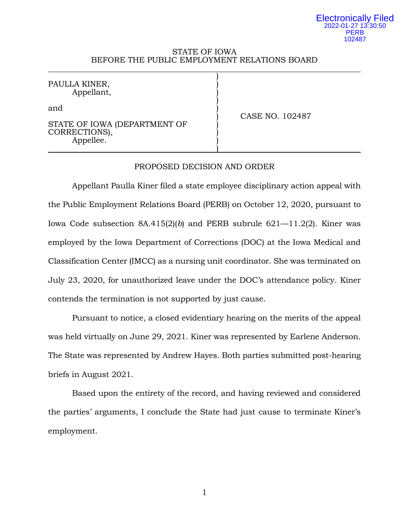#### Electronically Filed 2022-01-27 13:30:50 **PERB** 102487

### STATE OF IOWA BEFORE THE PUBLIC EMPLOYMENT RELATIONS BOARD

)

)

)

PAULLA KINER, Appellant, )

and  $\qquad \qquad \qquad$ 

STATE OF IOWA (DEPARTMENT OF CORRECTIONS), Appellee.

) CASE NO. 102487

## PROPOSED DECISION AND ORDER

Appellant Paulla Kiner filed a state employee disciplinary action appeal with the Public Employment Relations Board (PERB) on October 12, 2020, pursuant to Iowa Code subsection 8A.415(2)(*b*) and PERB subrule 621—11.2(2). Kiner was employed by the Iowa Department of Corrections (DOC) at the Iowa Medical and Classification Center (IMCC) as a nursing unit coordinator. She was terminated on July 23, 2020, for unauthorized leave under the DOC's attendance policy. Kiner contends the termination is not supported by just cause.

Pursuant to notice, a closed evidentiary hearing on the merits of the appeal was held virtually on June 29, 2021. Kiner was represented by Earlene Anderson. The State was represented by Andrew Hayes. Both parties submitted post-hearing briefs in August 2021.

Based upon the entirety of the record, and having reviewed and considered the parties' arguments, I conclude the State had just cause to terminate Kiner's employment.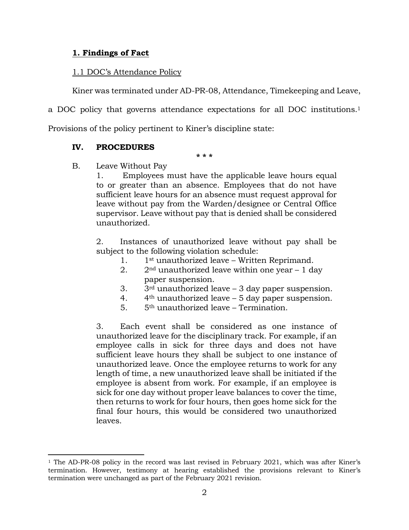## **1. Findings of Fact**

## 1.1 DOC's Attendance Policy

Kiner was terminated under AD-PR-08, Attendance, Timekeeping and Leave,

a DOC policy that governs attendance expectations for all DOC institutions.<sup>1</sup>

Provisions of the policy pertinent to Kiner's discipline state:

# **IV. PROCEDURES**

 $\overline{\phantom{a}}$ 

**\* \* \***

B. Leave Without Pay

1. Employees must have the applicable leave hours equal to or greater than an absence. Employees that do not have sufficient leave hours for an absence must request approval for leave without pay from the Warden/designee or Central Office supervisor. Leave without pay that is denied shall be considered unauthorized.

2. Instances of unauthorized leave without pay shall be subject to the following violation schedule:

- 1. 1st unauthorized leave Written Reprimand.
- 2.  $2<sup>nd</sup>$  unauthorized leave within one year  $-1$  day paper suspension.
- 3.  $3^{\text{rd}}$  unauthorized leave  $-3$  day paper suspension.
- 4.  $4<sup>th</sup>$  unauthorized leave 5 day paper suspension.
- 5. 5th unauthorized leave Termination.

3. Each event shall be considered as one instance of unauthorized leave for the disciplinary track. For example, if an employee calls in sick for three days and does not have sufficient leave hours they shall be subject to one instance of unauthorized leave. Once the employee returns to work for any length of time, a new unauthorized leave shall be initiated if the employee is absent from work. For example, if an employee is sick for one day without proper leave balances to cover the time, then returns to work for four hours, then goes home sick for the final four hours, this would be considered two unauthorized leaves.

<sup>&</sup>lt;sup>1</sup> The AD-PR-08 policy in the record was last revised in February 2021, which was after Kiner's termination. However, testimony at hearing established the provisions relevant to Kiner's termination were unchanged as part of the February 2021 revision.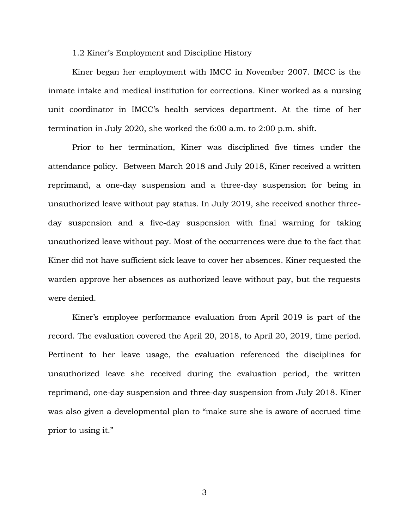#### 1.2 Kiner's Employment and Discipline History

Kiner began her employment with IMCC in November 2007. IMCC is the inmate intake and medical institution for corrections. Kiner worked as a nursing unit coordinator in IMCC's health services department. At the time of her termination in July 2020, she worked the 6:00 a.m. to 2:00 p.m. shift.

Prior to her termination, Kiner was disciplined five times under the attendance policy. Between March 2018 and July 2018, Kiner received a written reprimand, a one-day suspension and a three-day suspension for being in unauthorized leave without pay status. In July 2019, she received another threeday suspension and a five-day suspension with final warning for taking unauthorized leave without pay. Most of the occurrences were due to the fact that Kiner did not have sufficient sick leave to cover her absences. Kiner requested the warden approve her absences as authorized leave without pay, but the requests were denied.

Kiner's employee performance evaluation from April 2019 is part of the record. The evaluation covered the April 20, 2018, to April 20, 2019, time period. Pertinent to her leave usage, the evaluation referenced the disciplines for unauthorized leave she received during the evaluation period, the written reprimand, one-day suspension and three-day suspension from July 2018. Kiner was also given a developmental plan to "make sure she is aware of accrued time prior to using it."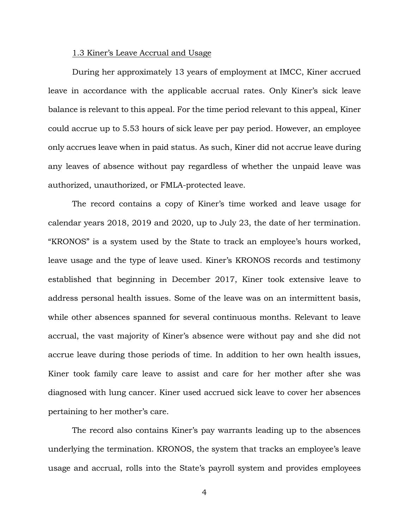#### 1.3 Kiner's Leave Accrual and Usage

During her approximately 13 years of employment at IMCC, Kiner accrued leave in accordance with the applicable accrual rates. Only Kiner's sick leave balance is relevant to this appeal. For the time period relevant to this appeal, Kiner could accrue up to 5.53 hours of sick leave per pay period. However, an employee only accrues leave when in paid status. As such, Kiner did not accrue leave during any leaves of absence without pay regardless of whether the unpaid leave was authorized, unauthorized, or FMLA-protected leave.

The record contains a copy of Kiner's time worked and leave usage for calendar years 2018, 2019 and 2020, up to July 23, the date of her termination. "KRONOS" is a system used by the State to track an employee's hours worked, leave usage and the type of leave used. Kiner's KRONOS records and testimony established that beginning in December 2017, Kiner took extensive leave to address personal health issues. Some of the leave was on an intermittent basis, while other absences spanned for several continuous months. Relevant to leave accrual, the vast majority of Kiner's absence were without pay and she did not accrue leave during those periods of time. In addition to her own health issues, Kiner took family care leave to assist and care for her mother after she was diagnosed with lung cancer. Kiner used accrued sick leave to cover her absences pertaining to her mother's care.

The record also contains Kiner's pay warrants leading up to the absences underlying the termination. KRONOS, the system that tracks an employee's leave usage and accrual, rolls into the State's payroll system and provides employees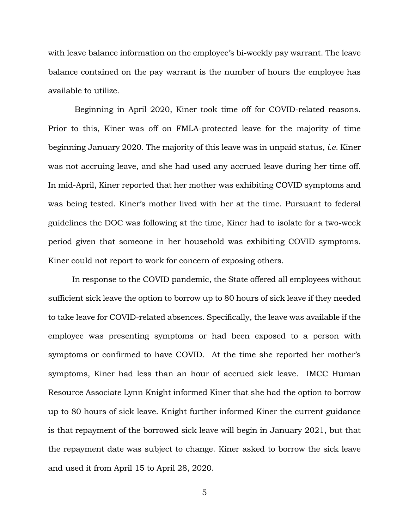with leave balance information on the employee's bi-weekly pay warrant. The leave balance contained on the pay warrant is the number of hours the employee has available to utilize.

Beginning in April 2020, Kiner took time off for COVID-related reasons. Prior to this, Kiner was off on FMLA-protected leave for the majority of time beginning January 2020. The majority of this leave was in unpaid status, *i.e.* Kiner was not accruing leave, and she had used any accrued leave during her time off. In mid-April, Kiner reported that her mother was exhibiting COVID symptoms and was being tested. Kiner's mother lived with her at the time. Pursuant to federal guidelines the DOC was following at the time, Kiner had to isolate for a two-week period given that someone in her household was exhibiting COVID symptoms. Kiner could not report to work for concern of exposing others.

In response to the COVID pandemic, the State offered all employees without sufficient sick leave the option to borrow up to 80 hours of sick leave if they needed to take leave for COVID-related absences. Specifically, the leave was available if the employee was presenting symptoms or had been exposed to a person with symptoms or confirmed to have COVID. At the time she reported her mother's symptoms, Kiner had less than an hour of accrued sick leave. IMCC Human Resource Associate Lynn Knight informed Kiner that she had the option to borrow up to 80 hours of sick leave. Knight further informed Kiner the current guidance is that repayment of the borrowed sick leave will begin in January 2021, but that the repayment date was subject to change. Kiner asked to borrow the sick leave and used it from April 15 to April 28, 2020.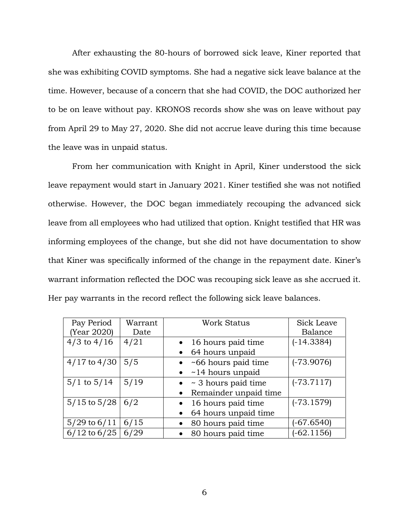After exhausting the 80-hours of borrowed sick leave, Kiner reported that she was exhibiting COVID symptoms. She had a negative sick leave balance at the time. However, because of a concern that she had COVID, the DOC authorized her to be on leave without pay. KRONOS records show she was on leave without pay from April 29 to May 27, 2020. She did not accrue leave during this time because the leave was in unpaid status.

From her communication with Knight in April, Kiner understood the sick leave repayment would start in January 2021. Kiner testified she was not notified otherwise. However, the DOC began immediately recouping the advanced sick leave from all employees who had utilized that option. Knight testified that HR was informing employees of the change, but she did not have documentation to show that Kiner was specifically informed of the change in the repayment date. Kiner's warrant information reflected the DOC was recouping sick leave as she accrued it. Her pay warrants in the record reflect the following sick leave balances.

| Pay Period       | Warrant | <b>Work Status</b>                 | Sick Leave   |
|------------------|---------|------------------------------------|--------------|
| (Year 2020)      | Date    |                                    | Balance      |
| $4/3$ to $4/16$  | 4/21    | 16 hours paid time                 | $(-14.3384)$ |
|                  |         | 64 hours unpaid<br>$\bullet$       |              |
| $4/17$ to $4/30$ | 5/5     | $\bullet$ ~66 hours paid time      | $(-73.9076)$ |
|                  |         | $\bullet$ ~14 hours unpaid         |              |
| $5/1$ to $5/14$  | 5/19    | $\bullet$ ~ 3 hours paid time      | $(-73.7117)$ |
|                  |         | Remainder unpaid time<br>$\bullet$ |              |
| $5/15$ to $5/28$ | 6/2     | 16 hours paid time<br>$\bullet$    | $(-73.1579)$ |
|                  |         | 64 hours unpaid time               |              |
| $5/29$ to $6/11$ | 6/15    | • 80 hours paid time               | $(-67.6540)$ |
| $6/12$ to $6/25$ | 6/29    | • 80 hours paid time               | $(-62.1156)$ |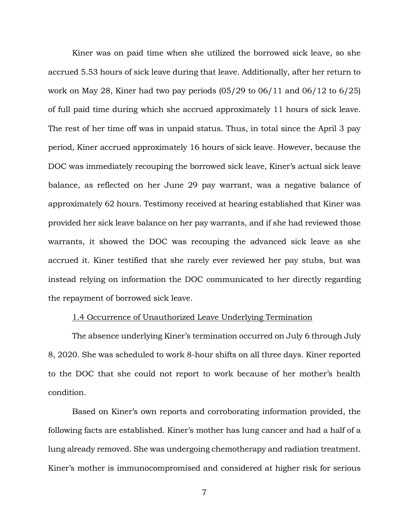Kiner was on paid time when she utilized the borrowed sick leave, so she accrued 5.53 hours of sick leave during that leave. Additionally, after her return to work on May 28, Kiner had two pay periods  $(05/29)$  to  $06/11$  and  $06/12$  to  $6/25$ ) of full paid time during which she accrued approximately 11 hours of sick leave. The rest of her time off was in unpaid status. Thus, in total since the April 3 pay period, Kiner accrued approximately 16 hours of sick leave. However, because the DOC was immediately recouping the borrowed sick leave, Kiner's actual sick leave balance, as reflected on her June 29 pay warrant, was a negative balance of approximately 62 hours. Testimony received at hearing established that Kiner was provided her sick leave balance on her pay warrants, and if she had reviewed those warrants, it showed the DOC was recouping the advanced sick leave as she accrued it. Kiner testified that she rarely ever reviewed her pay stubs, but was instead relying on information the DOC communicated to her directly regarding the repayment of borrowed sick leave.

## 1.4 Occurrence of Unauthorized Leave Underlying Termination

The absence underlying Kiner's termination occurred on July 6 through July 8, 2020. She was scheduled to work 8-hour shifts on all three days. Kiner reported to the DOC that she could not report to work because of her mother's health condition.

Based on Kiner's own reports and corroborating information provided, the following facts are established. Kiner's mother has lung cancer and had a half of a lung already removed. She was undergoing chemotherapy and radiation treatment. Kiner's mother is immunocompromised and considered at higher risk for serious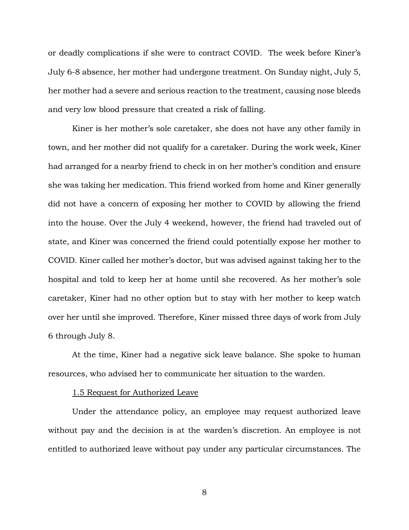or deadly complications if she were to contract COVID. The week before Kiner's July 6-8 absence, her mother had undergone treatment. On Sunday night, July 5, her mother had a severe and serious reaction to the treatment, causing nose bleeds and very low blood pressure that created a risk of falling.

Kiner is her mother's sole caretaker, she does not have any other family in town, and her mother did not qualify for a caretaker. During the work week, Kiner had arranged for a nearby friend to check in on her mother's condition and ensure she was taking her medication. This friend worked from home and Kiner generally did not have a concern of exposing her mother to COVID by allowing the friend into the house. Over the July 4 weekend, however, the friend had traveled out of state, and Kiner was concerned the friend could potentially expose her mother to COVID. Kiner called her mother's doctor, but was advised against taking her to the hospital and told to keep her at home until she recovered. As her mother's sole caretaker, Kiner had no other option but to stay with her mother to keep watch over her until she improved. Therefore, Kiner missed three days of work from July 6 through July 8.

At the time, Kiner had a negative sick leave balance. She spoke to human resources, who advised her to communicate her situation to the warden.

#### 1.5 Request for Authorized Leave

Under the attendance policy, an employee may request authorized leave without pay and the decision is at the warden's discretion. An employee is not entitled to authorized leave without pay under any particular circumstances. The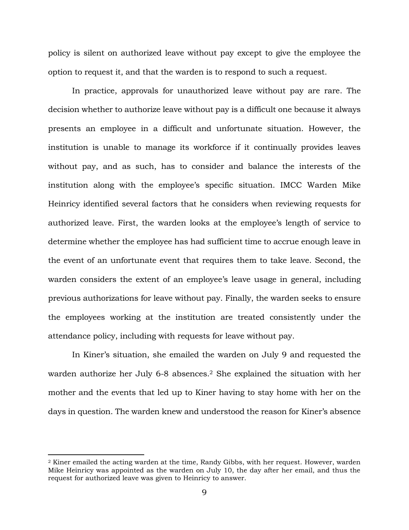policy is silent on authorized leave without pay except to give the employee the option to request it, and that the warden is to respond to such a request.

In practice, approvals for unauthorized leave without pay are rare. The decision whether to authorize leave without pay is a difficult one because it always presents an employee in a difficult and unfortunate situation. However, the institution is unable to manage its workforce if it continually provides leaves without pay, and as such, has to consider and balance the interests of the institution along with the employee's specific situation. IMCC Warden Mike Heinricy identified several factors that he considers when reviewing requests for authorized leave. First, the warden looks at the employee's length of service to determine whether the employee has had sufficient time to accrue enough leave in the event of an unfortunate event that requires them to take leave. Second, the warden considers the extent of an employee's leave usage in general, including previous authorizations for leave without pay. Finally, the warden seeks to ensure the employees working at the institution are treated consistently under the attendance policy, including with requests for leave without pay.

In Kiner's situation, she emailed the warden on July 9 and requested the warden authorize her July 6-8 absences.<sup>2</sup> She explained the situation with her mother and the events that led up to Kiner having to stay home with her on the days in question. The warden knew and understood the reason for Kiner's absence

 $\overline{\phantom{a}}$ 

<sup>2</sup> Kiner emailed the acting warden at the time, Randy Gibbs, with her request. However, warden Mike Heinricy was appointed as the warden on July 10, the day after her email, and thus the request for authorized leave was given to Heinricy to answer.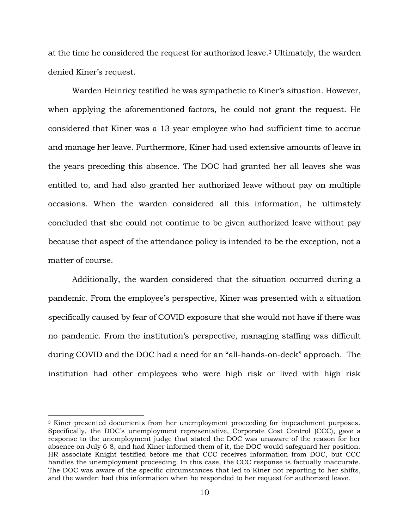at the time he considered the request for authorized leave. <sup>3</sup> Ultimately, the warden denied Kiner's request.

Warden Heinricy testified he was sympathetic to Kiner's situation. However, when applying the aforementioned factors, he could not grant the request. He considered that Kiner was a 13-year employee who had sufficient time to accrue and manage her leave. Furthermore, Kiner had used extensive amounts of leave in the years preceding this absence. The DOC had granted her all leaves she was entitled to, and had also granted her authorized leave without pay on multiple occasions. When the warden considered all this information, he ultimately concluded that she could not continue to be given authorized leave without pay because that aspect of the attendance policy is intended to be the exception, not a matter of course.

Additionally, the warden considered that the situation occurred during a pandemic. From the employee's perspective, Kiner was presented with a situation specifically caused by fear of COVID exposure that she would not have if there was no pandemic. From the institution's perspective, managing staffing was difficult during COVID and the DOC had a need for an "all-hands-on-deck" approach. The institution had other employees who were high risk or lived with high risk

 $\overline{a}$ 

<sup>3</sup> Kiner presented documents from her unemployment proceeding for impeachment purposes. Specifically, the DOC's unemployment representative, Corporate Cost Control (CCC), gave a response to the unemployment judge that stated the DOC was unaware of the reason for her absence on July 6-8, and had Kiner informed them of it, the DOC would safeguard her position. HR associate Knight testified before me that CCC receives information from DOC, but CCC handles the unemployment proceeding. In this case, the CCC response is factually inaccurate. The DOC was aware of the specific circumstances that led to Kiner not reporting to her shifts, and the warden had this information when he responded to her request for authorized leave.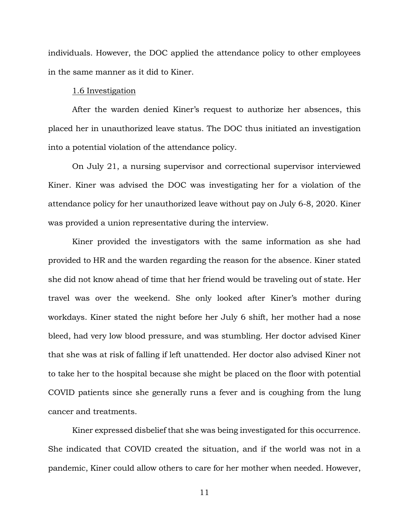individuals. However, the DOC applied the attendance policy to other employees in the same manner as it did to Kiner.

#### 1.6 Investigation

After the warden denied Kiner's request to authorize her absences, this placed her in unauthorized leave status. The DOC thus initiated an investigation into a potential violation of the attendance policy.

On July 21, a nursing supervisor and correctional supervisor interviewed Kiner. Kiner was advised the DOC was investigating her for a violation of the attendance policy for her unauthorized leave without pay on July 6-8, 2020. Kiner was provided a union representative during the interview.

Kiner provided the investigators with the same information as she had provided to HR and the warden regarding the reason for the absence. Kiner stated she did not know ahead of time that her friend would be traveling out of state. Her travel was over the weekend. She only looked after Kiner's mother during workdays. Kiner stated the night before her July 6 shift, her mother had a nose bleed, had very low blood pressure, and was stumbling. Her doctor advised Kiner that she was at risk of falling if left unattended. Her doctor also advised Kiner not to take her to the hospital because she might be placed on the floor with potential COVID patients since she generally runs a fever and is coughing from the lung cancer and treatments.

Kiner expressed disbelief that she was being investigated for this occurrence. She indicated that COVID created the situation, and if the world was not in a pandemic, Kiner could allow others to care for her mother when needed. However,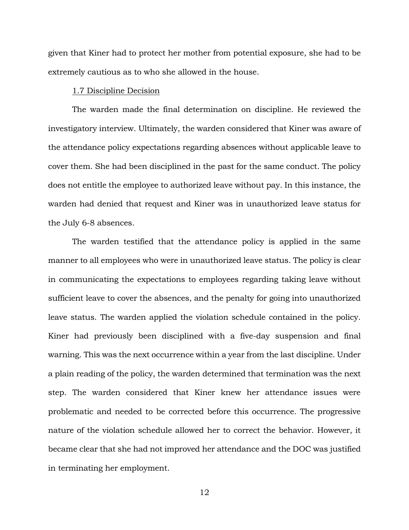given that Kiner had to protect her mother from potential exposure, she had to be extremely cautious as to who she allowed in the house.

### 1.7 Discipline Decision

The warden made the final determination on discipline. He reviewed the investigatory interview. Ultimately, the warden considered that Kiner was aware of the attendance policy expectations regarding absences without applicable leave to cover them. She had been disciplined in the past for the same conduct. The policy does not entitle the employee to authorized leave without pay. In this instance, the warden had denied that request and Kiner was in unauthorized leave status for the July 6-8 absences.

The warden testified that the attendance policy is applied in the same manner to all employees who were in unauthorized leave status. The policy is clear in communicating the expectations to employees regarding taking leave without sufficient leave to cover the absences, and the penalty for going into unauthorized leave status. The warden applied the violation schedule contained in the policy. Kiner had previously been disciplined with a five-day suspension and final warning. This was the next occurrence within a year from the last discipline. Under a plain reading of the policy, the warden determined that termination was the next step. The warden considered that Kiner knew her attendance issues were problematic and needed to be corrected before this occurrence. The progressive nature of the violation schedule allowed her to correct the behavior. However, it became clear that she had not improved her attendance and the DOC was justified in terminating her employment.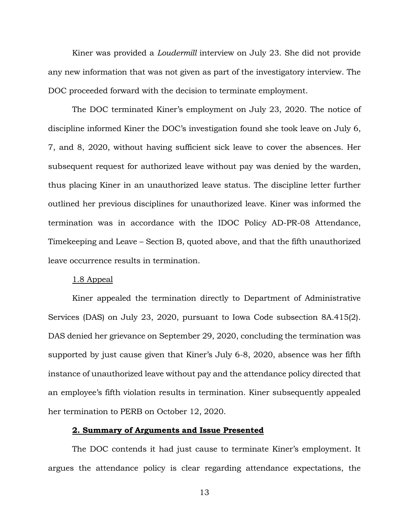Kiner was provided a *Loudermill* interview on July 23. She did not provide any new information that was not given as part of the investigatory interview. The DOC proceeded forward with the decision to terminate employment.

The DOC terminated Kiner's employment on July 23, 2020. The notice of discipline informed Kiner the DOC's investigation found she took leave on July 6, 7, and 8, 2020, without having sufficient sick leave to cover the absences. Her subsequent request for authorized leave without pay was denied by the warden, thus placing Kiner in an unauthorized leave status. The discipline letter further outlined her previous disciplines for unauthorized leave. Kiner was informed the termination was in accordance with the IDOC Policy AD-PR-08 Attendance, Timekeeping and Leave – Section B, quoted above, and that the fifth unauthorized leave occurrence results in termination.

### 1.8 Appeal

Kiner appealed the termination directly to Department of Administrative Services (DAS) on July 23, 2020, pursuant to Iowa Code subsection 8A.415(2). DAS denied her grievance on September 29, 2020, concluding the termination was supported by just cause given that Kiner's July 6-8, 2020, absence was her fifth instance of unauthorized leave without pay and the attendance policy directed that an employee's fifth violation results in termination. Kiner subsequently appealed her termination to PERB on October 12, 2020.

### **2. Summary of Arguments and Issue Presented**

The DOC contends it had just cause to terminate Kiner's employment. It argues the attendance policy is clear regarding attendance expectations, the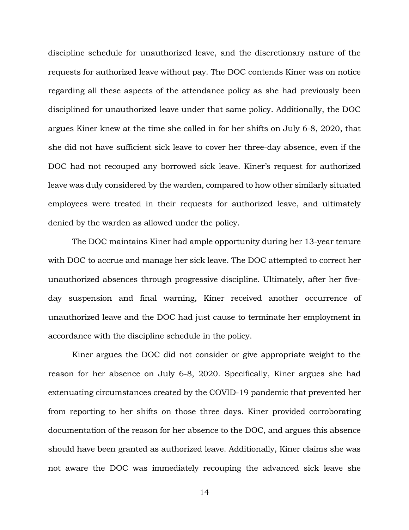discipline schedule for unauthorized leave, and the discretionary nature of the requests for authorized leave without pay. The DOC contends Kiner was on notice regarding all these aspects of the attendance policy as she had previously been disciplined for unauthorized leave under that same policy. Additionally, the DOC argues Kiner knew at the time she called in for her shifts on July 6-8, 2020, that she did not have sufficient sick leave to cover her three-day absence, even if the DOC had not recouped any borrowed sick leave. Kiner's request for authorized leave was duly considered by the warden, compared to how other similarly situated employees were treated in their requests for authorized leave, and ultimately denied by the warden as allowed under the policy.

The DOC maintains Kiner had ample opportunity during her 13-year tenure with DOC to accrue and manage her sick leave. The DOC attempted to correct her unauthorized absences through progressive discipline. Ultimately, after her fiveday suspension and final warning, Kiner received another occurrence of unauthorized leave and the DOC had just cause to terminate her employment in accordance with the discipline schedule in the policy.

Kiner argues the DOC did not consider or give appropriate weight to the reason for her absence on July 6-8, 2020. Specifically, Kiner argues she had extenuating circumstances created by the COVID-19 pandemic that prevented her from reporting to her shifts on those three days. Kiner provided corroborating documentation of the reason for her absence to the DOC, and argues this absence should have been granted as authorized leave. Additionally, Kiner claims she was not aware the DOC was immediately recouping the advanced sick leave she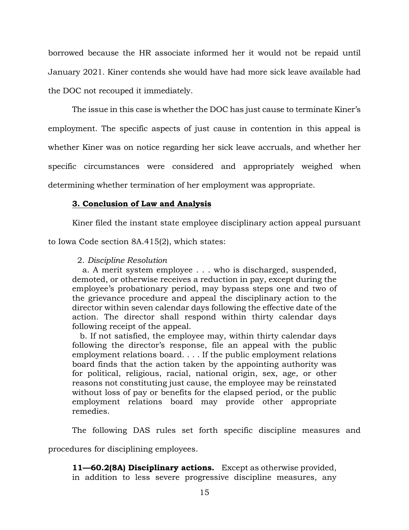borrowed because the HR associate informed her it would not be repaid until January 2021. Kiner contends she would have had more sick leave available had the DOC not recouped it immediately.

The issue in this case is whether the DOC has just cause to terminate Kiner's employment. The specific aspects of just cause in contention in this appeal is whether Kiner was on notice regarding her sick leave accruals, and whether her specific circumstances were considered and appropriately weighed when determining whether termination of her employment was appropriate.

## **3. Conclusion of Law and Analysis**

Kiner filed the instant state employee disciplinary action appeal pursuant

to Iowa Code section 8A.415(2), which states:

## 2. *Discipline Resolution*

 a. A merit system employee . . . who is discharged, suspended, demoted, or otherwise receives a reduction in pay, except during the employee's probationary period, may bypass steps one and two of the grievance procedure and appeal the disciplinary action to the director within seven calendar days following the effective date of the action. The director shall respond within thirty calendar days following receipt of the appeal.

 b. If not satisfied, the employee may, within thirty calendar days following the director's response, file an appeal with the public employment relations board. . . . If the public employment relations board finds that the action taken by the appointing authority was for political, religious, racial, national origin, sex, age, or other reasons not constituting just cause, the employee may be reinstated without loss of pay or benefits for the elapsed period, or the public employment relations board may provide other appropriate remedies.

The following DAS rules set forth specific discipline measures and

procedures for disciplining employees.

**11—60.2(8A) Disciplinary actions.** Except as otherwise provided, in addition to less severe progressive discipline measures, any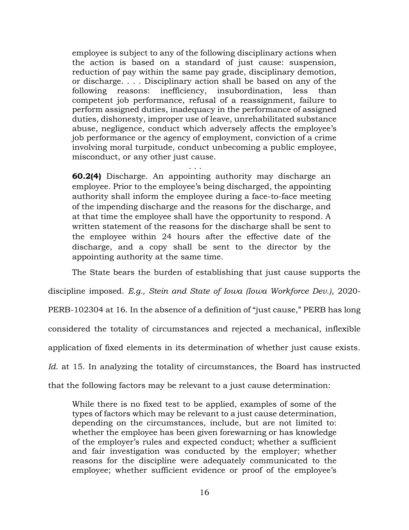employee is subject to any of the following disciplinary actions when the action is based on a standard of just cause: suspension, reduction of pay within the same pay grade, disciplinary demotion, or discharge. . . . Disciplinary action shall be based on any of the following reasons: inefficiency, insubordination, less than competent job performance, refusal of a reassignment, failure to perform assigned duties, inadequacy in the performance of assigned duties, dishonesty, improper use of leave, unrehabilitated substance abuse, negligence, conduct which adversely affects the employee's job performance or the agency of employment, conviction of a crime involving moral turpitude, conduct unbecoming a public employee, misconduct, or any other just cause.

**60.2(4)** Discharge. An appointing authority may discharge an employee. Prior to the employee's being discharged, the appointing authority shall inform the employee during a face-to-face meeting of the impending discharge and the reasons for the discharge, and at that time the employee shall have the opportunity to respond. A written statement of the reasons for the discharge shall be sent to the employee within 24 hours after the effective date of the discharge, and a copy shall be sent to the director by the appointing authority at the same time.

. . .

The State bears the burden of establishing that just cause supports the

discipline imposed. *E.g., Stein and State of Iowa (Iowa Workforce Dev.)*, 2020-

PERB-102304 at 16. In the absence of a definition of "just cause," PERB has long

considered the totality of circumstances and rejected a mechanical, inflexible

application of fixed elements in its determination of whether just cause exists.

*Id*. at 15. In analyzing the totality of circumstances, the Board has instructed

that the following factors may be relevant to a just cause determination:

While there is no fixed test to be applied, examples of some of the types of factors which may be relevant to a just cause determination, depending on the circumstances, include, but are not limited to: whether the employee has been given forewarning or has knowledge of the employer's rules and expected conduct; whether a sufficient and fair investigation was conducted by the employer; whether reasons for the discipline were adequately communicated to the employee; whether sufficient evidence or proof of the employee's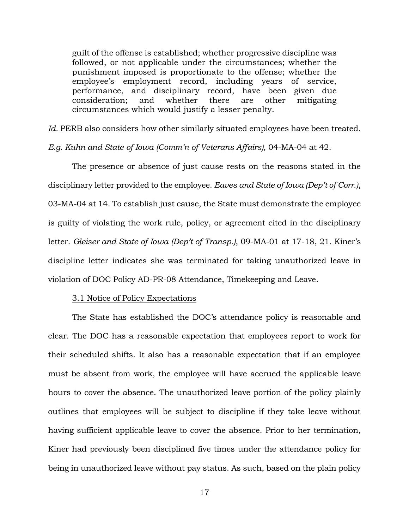guilt of the offense is established; whether progressive discipline was followed, or not applicable under the circumstances; whether the punishment imposed is proportionate to the offense; whether the employee's employment record, including years of service, performance, and disciplinary record, have been given due consideration; and whether there are other mitigating circumstances which would justify a lesser penalty.

Id. PERB also considers how other similarly situated employees have been treated.

*E.g. Kuhn and State of Iowa (Comm'n of Veterans Affairs),* 04-MA-04 at 42.

The presence or absence of just cause rests on the reasons stated in the disciplinary letter provided to the employee. *Eaves and State of Iowa (Dep't of Corr.)*, 03-MA-04 at 14. To establish just cause, the State must demonstrate the employee is guilty of violating the work rule, policy, or agreement cited in the disciplinary letter. *Gleiser and State of Iowa (Dep't of Transp.)*, 09-MA-01 at 17-18, 21. Kiner's discipline letter indicates she was terminated for taking unauthorized leave in violation of DOC Policy AD-PR-08 Attendance, Timekeeping and Leave.

#### 3.1 Notice of Policy Expectations

The State has established the DOC's attendance policy is reasonable and clear. The DOC has a reasonable expectation that employees report to work for their scheduled shifts. It also has a reasonable expectation that if an employee must be absent from work, the employee will have accrued the applicable leave hours to cover the absence. The unauthorized leave portion of the policy plainly outlines that employees will be subject to discipline if they take leave without having sufficient applicable leave to cover the absence. Prior to her termination, Kiner had previously been disciplined five times under the attendance policy for being in unauthorized leave without pay status. As such, based on the plain policy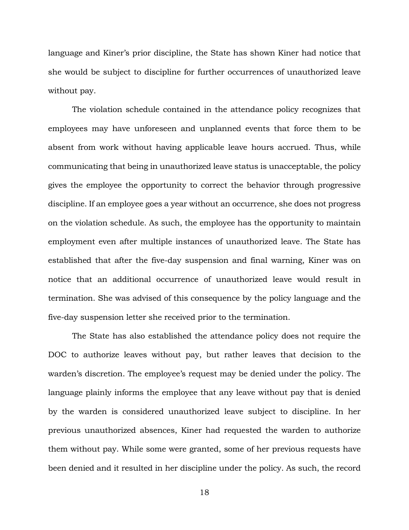language and Kiner's prior discipline, the State has shown Kiner had notice that she would be subject to discipline for further occurrences of unauthorized leave without pay.

The violation schedule contained in the attendance policy recognizes that employees may have unforeseen and unplanned events that force them to be absent from work without having applicable leave hours accrued. Thus, while communicating that being in unauthorized leave status is unacceptable, the policy gives the employee the opportunity to correct the behavior through progressive discipline. If an employee goes a year without an occurrence, she does not progress on the violation schedule. As such, the employee has the opportunity to maintain employment even after multiple instances of unauthorized leave. The State has established that after the five-day suspension and final warning, Kiner was on notice that an additional occurrence of unauthorized leave would result in termination. She was advised of this consequence by the policy language and the five-day suspension letter she received prior to the termination.

The State has also established the attendance policy does not require the DOC to authorize leaves without pay, but rather leaves that decision to the warden's discretion. The employee's request may be denied under the policy. The language plainly informs the employee that any leave without pay that is denied by the warden is considered unauthorized leave subject to discipline. In her previous unauthorized absences, Kiner had requested the warden to authorize them without pay. While some were granted, some of her previous requests have been denied and it resulted in her discipline under the policy. As such, the record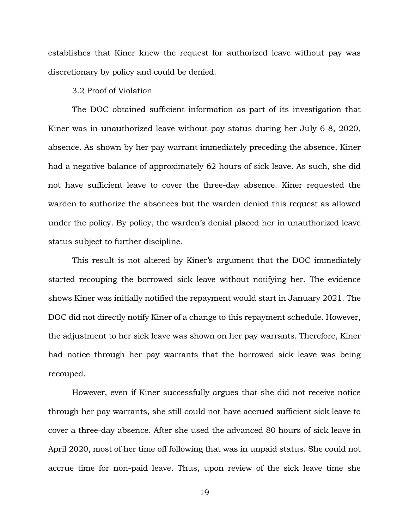establishes that Kiner knew the request for authorized leave without pay was discretionary by policy and could be denied.

#### 3.2 Proof of Violation

The DOC obtained sufficient information as part of its investigation that Kiner was in unauthorized leave without pay status during her July 6-8, 2020, absence. As shown by her pay warrant immediately preceding the absence, Kiner had a negative balance of approximately 62 hours of sick leave. As such, she did not have sufficient leave to cover the three-day absence. Kiner requested the warden to authorize the absences but the warden denied this request as allowed under the policy. By policy, the warden's denial placed her in unauthorized leave status subject to further discipline.

This result is not altered by Kiner's argument that the DOC immediately started recouping the borrowed sick leave without notifying her. The evidence shows Kiner was initially notified the repayment would start in January 2021. The DOC did not directly notify Kiner of a change to this repayment schedule. However, the adjustment to her sick leave was shown on her pay warrants. Therefore, Kiner had notice through her pay warrants that the borrowed sick leave was being recouped.

However, even if Kiner successfully argues that she did not receive notice through her pay warrants, she still could not have accrued sufficient sick leave to cover a three-day absence. After she used the advanced 80 hours of sick leave in April 2020, most of her time off following that was in unpaid status. She could not accrue time for non-paid leave. Thus, upon review of the sick leave time she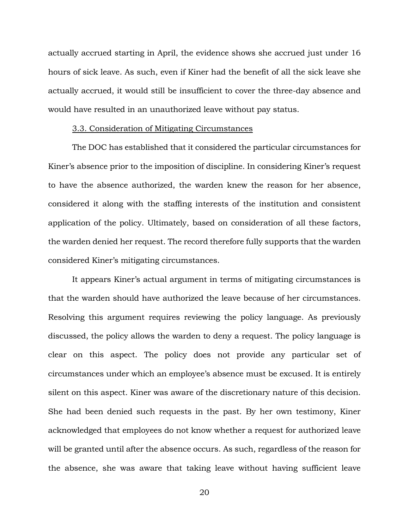actually accrued starting in April, the evidence shows she accrued just under 16 hours of sick leave. As such, even if Kiner had the benefit of all the sick leave she actually accrued, it would still be insufficient to cover the three-day absence and would have resulted in an unauthorized leave without pay status.

#### 3.3. Consideration of Mitigating Circumstances

The DOC has established that it considered the particular circumstances for Kiner's absence prior to the imposition of discipline. In considering Kiner's request to have the absence authorized, the warden knew the reason for her absence, considered it along with the staffing interests of the institution and consistent application of the policy. Ultimately, based on consideration of all these factors, the warden denied her request. The record therefore fully supports that the warden considered Kiner's mitigating circumstances.

It appears Kiner's actual argument in terms of mitigating circumstances is that the warden should have authorized the leave because of her circumstances. Resolving this argument requires reviewing the policy language. As previously discussed, the policy allows the warden to deny a request. The policy language is clear on this aspect. The policy does not provide any particular set of circumstances under which an employee's absence must be excused. It is entirely silent on this aspect. Kiner was aware of the discretionary nature of this decision. She had been denied such requests in the past. By her own testimony, Kiner acknowledged that employees do not know whether a request for authorized leave will be granted until after the absence occurs. As such, regardless of the reason for the absence, she was aware that taking leave without having sufficient leave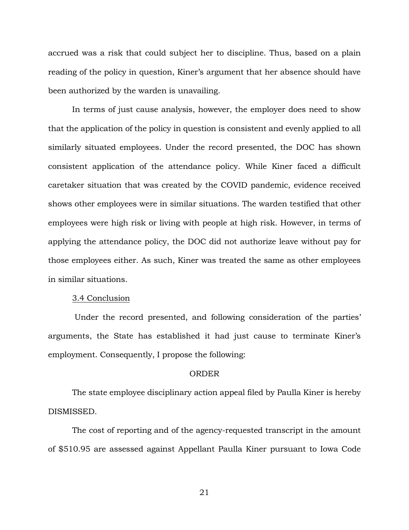accrued was a risk that could subject her to discipline. Thus, based on a plain reading of the policy in question, Kiner's argument that her absence should have been authorized by the warden is unavailing.

In terms of just cause analysis, however, the employer does need to show that the application of the policy in question is consistent and evenly applied to all similarly situated employees. Under the record presented, the DOC has shown consistent application of the attendance policy. While Kiner faced a difficult caretaker situation that was created by the COVID pandemic, evidence received shows other employees were in similar situations. The warden testified that other employees were high risk or living with people at high risk. However, in terms of applying the attendance policy, the DOC did not authorize leave without pay for those employees either. As such, Kiner was treated the same as other employees in similar situations.

#### 3.4 Conclusion

Under the record presented, and following consideration of the parties' arguments, the State has established it had just cause to terminate Kiner's employment. Consequently, I propose the following:

#### ORDER

The state employee disciplinary action appeal filed by Paulla Kiner is hereby DISMISSED.

The cost of reporting and of the agency-requested transcript in the amount of \$510.95 are assessed against Appellant Paulla Kiner pursuant to Iowa Code